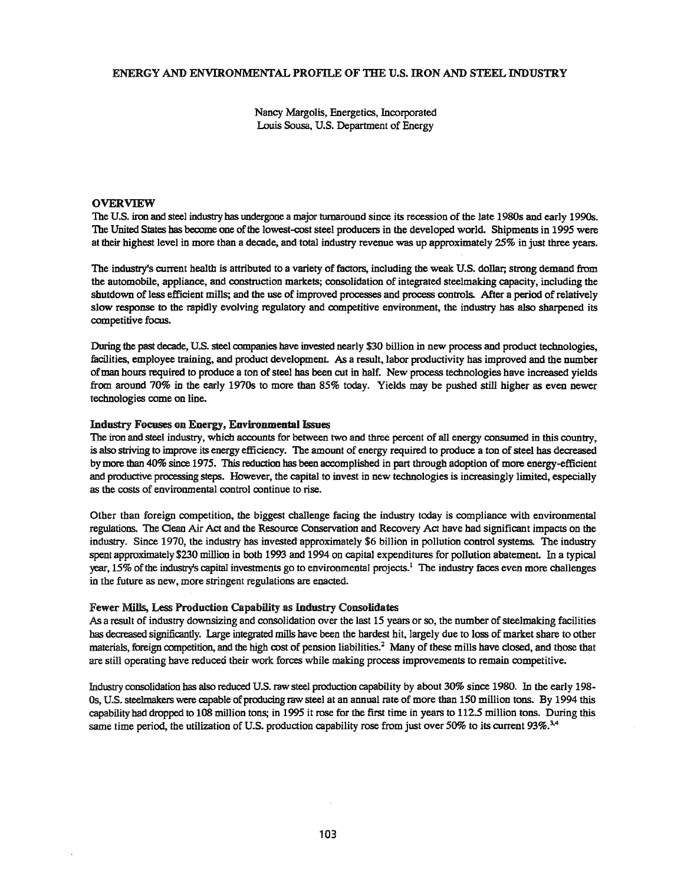# ENERGY AND ENVIRONMENfAL PROFILE OF THE U.S. IRON AND STEEL INDUSTRY

Nancy Margolis, Energetics, Incorporated Louis Sousa, U.S. Department of Energy

# OVERVIEW

The U.S. iron and steel industry has undergone a major turnaround since its recession of the late 1980s and early 1990s. The United States has become one ofthe lowest-cost steel producers in the developed world. Shipments in 1995 were at their highest level in more than a decade, and total industry revenue was up approximately 25% in just three years.

The industry's current health is attributed to a variety of factors, including the weak U.S. dollar; strong demand from the automobile, appliance, and construction markets; consolidation of integrated steelmaking capacity, including the shutdown of less efficient mills; and the use of improved processes and process controls. After a period of relatively slow response to the rapidly evolving regulatory and competitive environment, the industry has also sharpened its competitive focus.

During the past decade, U..S. steel companies have invested nearly \$30 billion in new process and product technologies, facilities, employee training, and product development. As a result, labor productivity has improved and the number ofman hours required to produce a ton ofsteel has been cut in half. New process technologies have increased yields from around 70% in the early 19708 to more than 85% today. Yields may be pushed still higher as even newer technologies come on line.

# Industry Focuses on Energy, Environmental Issues

The iron and steel industry, which accounts for between two and three percent of all energy consumed in this country, is also striving to improve its energy efficiency. The amount of energy required to produce a ton of steel has decreased bymore than 40% since 1975. This reduction has been accomplished in part through adoption of more energy-efficient and productive processing steps. However, the capital to invest in new technologies is increasingly limited, especially as the costs of environmental control continue to rise.

Other than foreign competition, the biggest challenge facing the industry today is compliance with environmental regulations. The Clean Air Act and the Resource Conservation and Recovery Act have had significant impacts on the industry~ Since 1970, the industry has invested approximately \$6 billion in pollution control systems. The industry spent approximately \$230 million in both 1993 and 1994 on capital expenditures for pollution abatement. In a typical year, 15% of the industry's capital investments go to environmental projects.<sup>1</sup> The industry faces even more challenges in the future as new, more stringent regulations are enacted..

# Fewer Mills, Less Production Capability as Industry Consolidates

As a result of industry downsizing and consolidation over the last 15 years or so, the number of steelmaking facilities has decreased significantly.. Large integrated mills have been the hardest hit, largely due to loss of market share to other materials, foreign competition, and the high cost of pension liabilities.<sup>2</sup> Many of these mills have closed, and those that are still operating have reduced their work forces while making process improvements to remain competitive.

Industry consolidation has also reduced U.S. raw steel production capability by about 30% since 1980. In the early 198-Os, U.S. steelmakers were capable of producing raw steel at an annual rate of more than 150 million tons. By 1994 this capability had dropped to 108 million tons; in 1995 it rose for the first time in years to 112.5 million tons. During this same time period, the utilization of U.S. production capability rose from just over 50% to its current 93%.<sup>3,4</sup>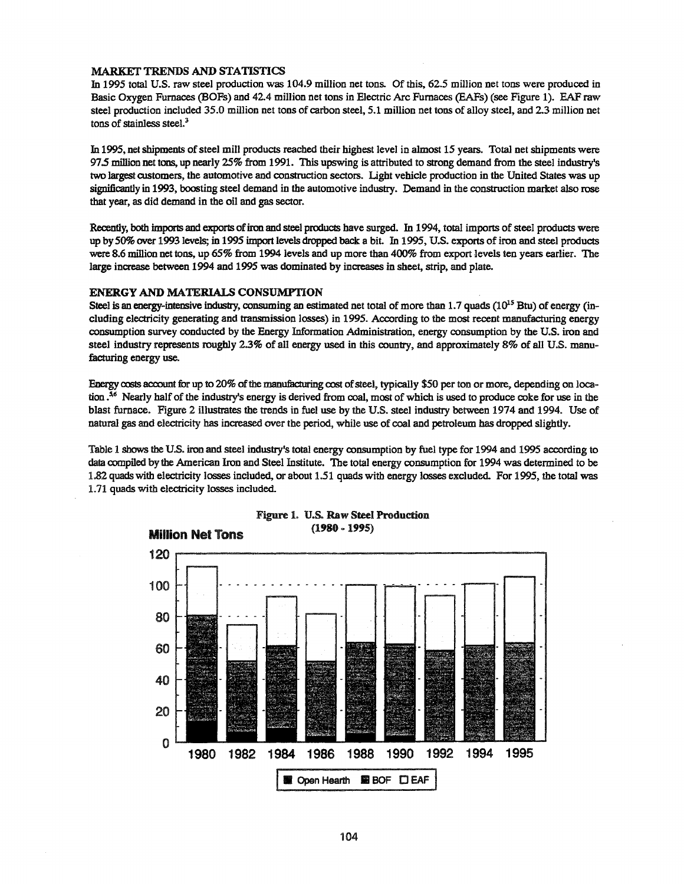#### MARKET TRENDS AND STATISTICS

In 1995 total U.S. raw steel production was 104.9 million net tons. Of this, 62.5 million net tons were produced in Basic Oxygen Furnaces (BOFs) and 42.4 million net tons in Electric Arc Furnaces (EAFs) (see Figure 1). EAF raw steel production included 35.0 million net tons of carbon steel, 5.1 million net tons of alloy steel, and 2.3 million net tons of stainless steel. $3$ 

In 1995, net shipments of steel mill products reached their highest level in almost 15 years. Total net shipments were 975 million net tons, up nearly 25% from 1991. This upswing is attributed to strong demand from the steel industry's two largest customers, the automotive and construction sectors. Light vehicle production in the United States was up significantly in 1993, boosting steel demand in the automotive industry. Demand in the construction market also rose that year, as did demand in the oil and gas sector.

Recently, both imports and exports of iron and steel products have surged. In 1994, total imports of steel products were up by50% over 1993 levels; in 1995 import levels dropped back a bit. In 1995, U.S. exports ofiron and steel products were 8.6 million net tons, up  $65\%$  from 1994 levels and up more than 400% from export levels ten years earlier. The large increase between 1994 and 1995 was dominated by increases in sheet, strip, and plate..

#### ENERGY AND MATERIALS CONSUMPTION

Steel is an energy-intensive industry, consuming an estimated net total of more than  $1.7$  quads ( $10^{15}$  Btu) of energy (including electricity generating and transmission losses) in 1995. According to the most recent manufacturing energy consumption survey conducted by the Energy Information Administration, energy consumption by the U.S. iron and steel industry represents roughly 2.3% of all energy used in this country, and approximately 8% of all U.S. manufacturing energy use.

Energy costs account for up to 20% of the manufacturing cost of steel, typically \$50 per ton or more, depending on location  $.5<sup>6</sup>$  Nearly half of the industry's energy is derived from coal, most of which is used to produce coke for use in the blast furnace. Figure 2 illustrates the trends in fuel use by the U.S. steel industry between 1974 and 1994. Use of natural gas and electricity has increased over the period, while use of coal and petroleum has dropped slightly..

Table 1 shows the US. iron and steel industry's total energy consumption by fuel type for 1994 and 1995 according to data compiled by the American Iron and Steel Institute. The total energy consumption for 1994 was determined to be 1.82 quads with electricity losses included, or about 1.51 quads with energy losses excluded. For 1995, the total was 1.71 quads with electricity losses included.



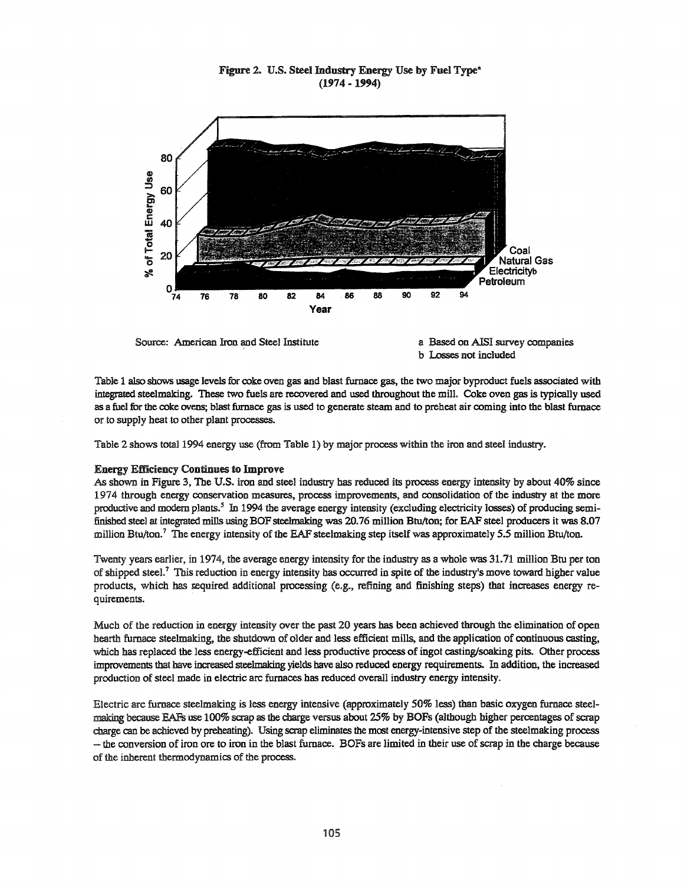# Figure 2. U.S. Steel Industry Energy Use by Fuel Type<sup>®</sup> (1974 -1994)







Table 1 also shows usage levels for coke oven gas and blast furnace gas, the two major byproduct fuels associated with integrated steelmaking. These two fuels are recovered and used throughout the mill. Coke oven gas is typically used as a fuel for the coke ovens; blast furnace gas is used to generate steam and to preheat air coming into the blast furnace or to supply heat to other plant processes..

Table 2 shows total 1994 energy use (from Table 1) by major process within the iron and steel industry.

# Energy Efficiency Continues to Improve

As shown in Figure 3, The U.S. iron and steel industry has reduced its process energy intensity by about 40% since 1974 through energy conservation measures, process improvements, and consolidation of the industry at the more productive and modern plants.<sup>5</sup> In 1994 the average energy intensity (excluding electricity losses) of producing semifinished steel at integrated mills using BOF steelmaking was 20.76 million Btu/ton; for EAF steel producers it was 8.07 million Btu/ton.<sup>7</sup> The energy intensity of the EAF steelmaking step itself was approximately 5.5 million Btu/ton.

Twenty years earlier, in 1974, the average energy intensity for the industry as a whole was 31.71 million Btu per ton of shipped steel.<sup>7</sup> This reduction in energy intensity has occurred in spite of the industry's move toward higher value products, which has required additional processing (e.g., refining and finishing steps) that increases energy requirements.

Much of the reduction in energy intensity over the past 20 years has been achieved through the elimination of open hearth furnace steelmaking, the shutdown of older and less efficient mills, and the application of continuous casting, which has replaced the less energy-efficient and less productive process of ingot casting/soaking pits. Other process improvements that have increased steelmaking yields have also reduced energy requirements. In addition, the increased production of steel made in electric arc furnaces has reduced overall industry energy intensity.

Electric arc furnace steelmaking is less energy intensive (approximately 50% less) than basic oxygen furnace steelmaking because EAFs use 100% scrap asthe charge versus about 25% by BOPs (although higher percentages ofscrap charge can be achieved by preheating). Using scrap eliminates the most energy-intensive step of the steelmaking process ...... the conversion ofiron ore to iron in the blast furnace. BOFs are limited in their use ofscrap in the charge because of the inherent thermodynamics of the process.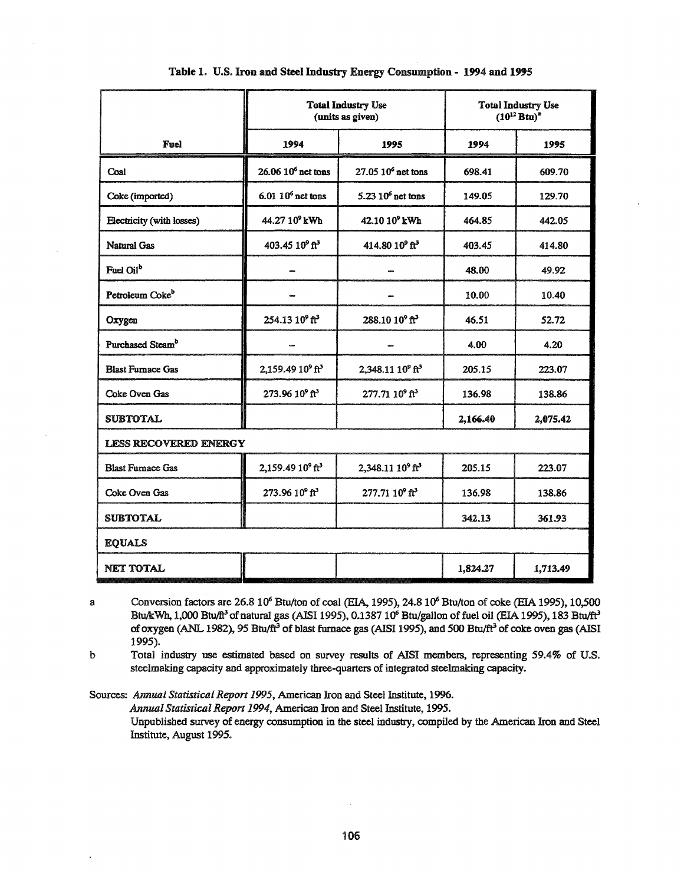|                              |                                          | <b>Total Industry Use</b><br>(units as given) | <b>Total Industry Use</b><br>$(10^{12} Btu)^2$ |          |  |
|------------------------------|------------------------------------------|-----------------------------------------------|------------------------------------------------|----------|--|
| Fuel                         | 1994                                     | 1995                                          | 1994                                           | 1995     |  |
| Coal                         | $26.06 106$ net tons                     | $27.05\ 10^6$ net tons                        | 698.41                                         | 609.70   |  |
| Coke (imported)              | $6.01 106$ net tons                      | $5.23106$ net tons                            | 149.05                                         | 129.70   |  |
| Electricity (with losses)    | 44.27 10° kWh                            | 42.10 10° kWh                                 | 464.85                                         | 442.05   |  |
| <b>Natural Gas</b>           | 403.45 10 <sup>9</sup> ft <sup>3</sup>   | 414.80 10 <sup>9</sup> ft <sup>3</sup>        | 403.45                                         | 414.80   |  |
| Fuel Oil <sup>b</sup>        |                                          |                                               | 48.00                                          | 49.92    |  |
| Petroleum Coke <sup>b</sup>  |                                          |                                               | 10.00                                          | 10.40    |  |
| Oxygen                       | 254.13 10 <sup>9</sup> ft <sup>3</sup>   | 288.10 10 <sup>9</sup> ft <sup>3</sup>        | 46.51                                          | 52.72    |  |
| Purchased Steam <sup>b</sup> |                                          |                                               | 4.00                                           | 4.20     |  |
| <b>Blast Furnace Gas</b>     | 2,159.49 10° ft <sup>3</sup>             | 2,348.11 10 <sup>9</sup> ft <sup>3</sup>      | 205.15                                         | 223.07   |  |
| Coke Oven Gas                | 273.96 109 ft <sup>3</sup>               | 277.71 10 <sup>9</sup> ft <sup>3</sup>        | 136.98                                         | 138.86   |  |
| <b>SUBTOTAL</b>              |                                          |                                               | 2,166.40                                       | 2,075.42 |  |
| <b>LESS RECOVERED ENERGY</b> |                                          |                                               |                                                |          |  |
| <b>Blast Furnace Gas</b>     | 2,159.49 10 <sup>9</sup> ft <sup>3</sup> | 2,348.11 10 <sup>9</sup> ft <sup>3</sup>      | 205.15                                         | 223.07   |  |
| Coke Oven Gas                | 273.96 10° ft <sup>3</sup>               | 277.71 10° ft <sup>3</sup>                    | 136.98                                         | 138.86   |  |
| <b>SUBTOTAL</b>              |                                          |                                               | 342.13                                         | 361.93   |  |
| <b>EQUALS</b>                |                                          |                                               |                                                |          |  |
| <b>NET TOTAL</b>             |                                          |                                               | 1,824.27                                       | 1,713.49 |  |

Table 1. U.S. Iron and Steel Industry Energy Consumption - 1994 and 1995

a Conversion factors are 26.8 10<sup>6</sup> Btu/ton of coal (EIA, 1995), 24.8 10<sup>6</sup> Btu/ton of coke (EIA 1995), 10,500 Btu/kWh, 1,000 Btu/ft<sup>3</sup> of natural gas (AISI 1995), 0.1387 10<sup>6</sup> Btu/gallon of fuel oil (EIA 1995), 183 Btu/ft<sup>3</sup> of oxygen (ANL 1982), 95 Btu/ft<sup>3</sup> of blast furnace gas (AISI 1995), and 500 Btu/ft<sup>3</sup> of coke oven gas (AISI 1995).

b Total industry use estimated based on survey results of AISI members, representing 59.4% of U.S. steelmaking capacity and approximately three-quarters of integrated steelmaking capacity..

Sources: Annual Statistical Report 1995, American Iron and Steel Institute, 1996. *AnnualStatistical Report* 1994, American Iron and Steel Institute, 1995..

Unpublished survey of energy consumption in the steel industry, compiled by the American Iron and Steel Institute, August 1995..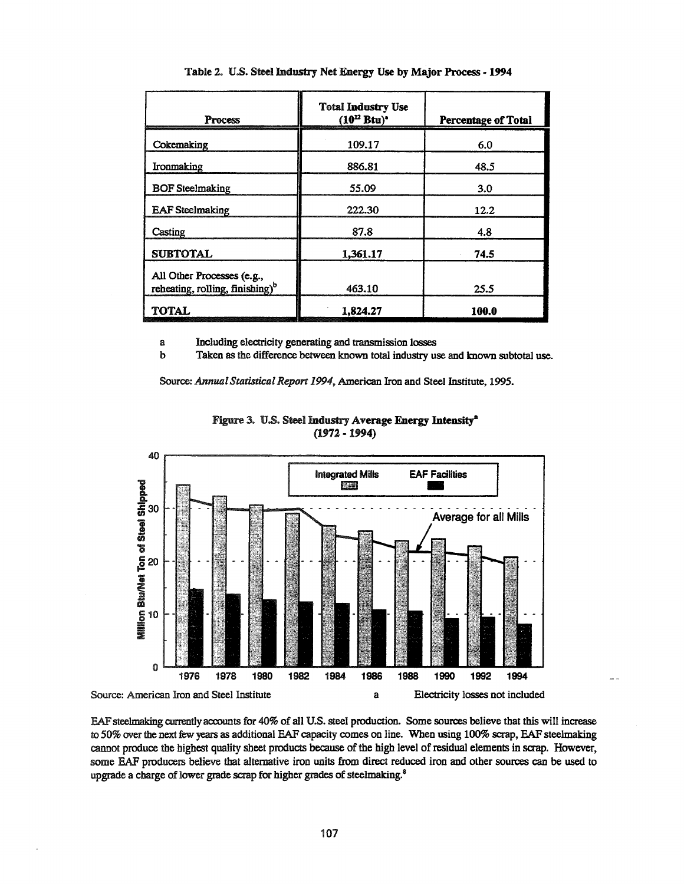| Process                                                                   | <b>Total Industry Use</b><br>$(10^{12} Btu)^*$ | <b>Percentage of Total</b> |  |
|---------------------------------------------------------------------------|------------------------------------------------|----------------------------|--|
| Cokemaking                                                                | 109.17                                         | 6.0                        |  |
| Ironmaking                                                                | 886.81                                         | 48.5                       |  |
| <b>BOF</b> Steelmaking                                                    | 55.09                                          | 3.0                        |  |
| <b>EAF</b> Steelmaking                                                    | 222.30                                         | 12.2                       |  |
| Casting                                                                   | 87.8                                           | 4.8                        |  |
| <b>SUBTOTAL</b>                                                           | 1,361.17                                       | 74.5                       |  |
| All Other Processes (e.g.,<br>reheating, rolling, finishing) <sup>b</sup> | 463.10                                         | 25.5                       |  |
| <b>TOTAL</b>                                                              | 1.824.27                                       | 100.0                      |  |

Table 2. U.S. Steel Industry Net Energy Use by Major Process • **1994**

a Including electricity generating and transmission losses

Taken as the difference between known total industry use and known subtotal use.

Source: *AnnualStatistical Report* 1994, American Iron and Steel Institute, 1995.





EAFsteelmaking currently accounts for 40% of all U.S. steel production. Some sources believe that this will increase to 50% over the next few years as additional EAF capacity comes on line. When using 100% scrap, EAF steelmaking cannot produce the highest quality sheet products because of the high level of residual elements in scrap. However, some EAF producers believe that alternative iron units from direct reduced iron and other sources can be used to upgrade a charge of lower grade scrap for higher grades of steelmaking.<sup>8</sup>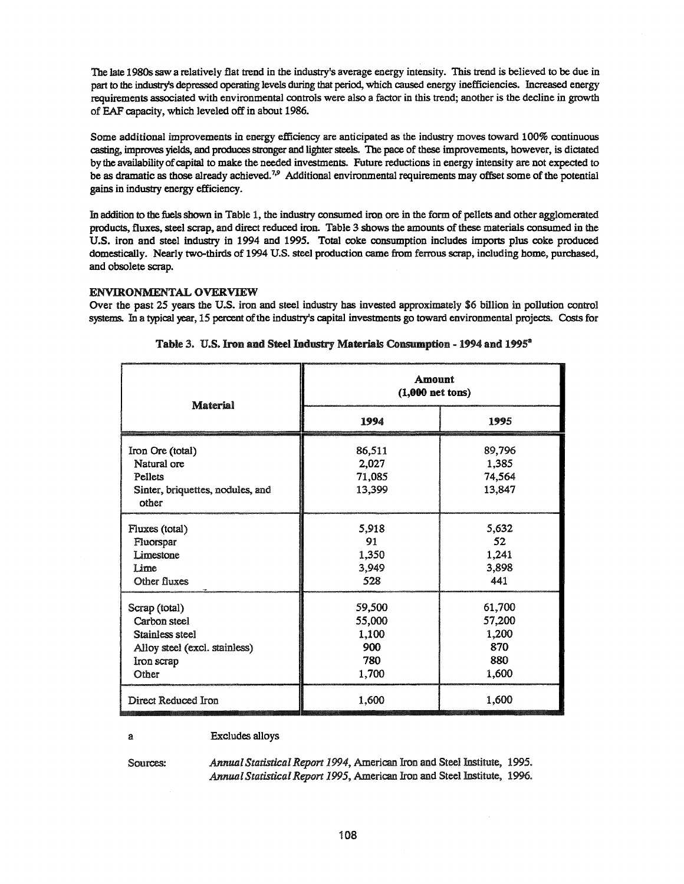The late 1980s saw a relatively flat trend in the industryls average energy intensity. This trend is believed to be due in part to the industry's depressed operating levels during that period, which caused energy inefficiencies. Increased energy requirements associated with environmental controls were also a factor in this trend; another is the decline in growth of EAF capacity, which leveled off in about 1986.

Some additional improvements in energy efficiency are anticipated as the industry moves toward 100% continuous casting, improves yields, and producesstronger and lighter steels. The pace of these improvements, however, is dictated by the availabilityofcapital to make the needed investments. Future reductions in energy intensity are not expected to be as dramatic as those already achieved.<sup>7,9</sup> Additional environmental requirements may offset some of the potential gains in industry energy efficiency.

In addition to the fuels shown in Table 1, the industry consumed iron ore in the form of pellets and other agglomerated products, fluxes, steel scrap, and direct reduced iron. Table 3 shows the amounts ofthese materials consumed in the U.S. iron and steel industry in 1994 and 1995. Total coke consumption includes imports plus coke produced domestically. Nearly two-thirds of 1994 U.S. steel production came from ferrous scrap, including home, purchased, and obsolete scrap..

# ENVIRONMENTAL OVERVIEW

Over the past 25 years the U.S. iron and steel industry bas invested approximately \$6 billion in pollution control systems. In a typical year, 15 percent of the industry's capital investments go toward environmental projects. Costs for

| Material                                                                                                 | Amount<br>$(1,000$ net tons)                     |                                                  |  |
|----------------------------------------------------------------------------------------------------------|--------------------------------------------------|--------------------------------------------------|--|
|                                                                                                          | 1994                                             | 1995                                             |  |
| Iron Ore (total)<br>Natural ore<br>Pellets<br>Sinter, briquettes, nodules, and<br>other                  | 86,511<br>2,027<br>71,085<br>13,399              | 89,796<br>1,385<br>74,564<br>13,847              |  |
| Fluxes (total)<br>Fluorspar<br>Limestone<br>Lime<br>Other fluxes                                         | 5,918<br>91<br>1,350<br>3,949<br>528             | 5,632<br>52<br>1,241<br>3,898<br>441             |  |
| Scrap (total)<br>Carbon steel<br>Stainless steel<br>Alloy steel (excl. stainless)<br>Iron scrap<br>Other | 59,500<br>55,000<br>1,100<br>900<br>780<br>1,700 | 61,700<br>57,200<br>1,200<br>870<br>880<br>1,600 |  |
| Direct Reduced Iron                                                                                      | 1,600                                            | 1,600                                            |  |

# Table 3. U.S. Iron and Steel Industry Materials Consumption - 1994 and 1995<sup>a</sup>

Excludes alloys

Sources:

a

*AnnualStatisticalReport* 1994, American Iron and Steel Institute, 1995.. *AnnualStatisticalReport* 1995, American Iron and Steel Institute, 1996..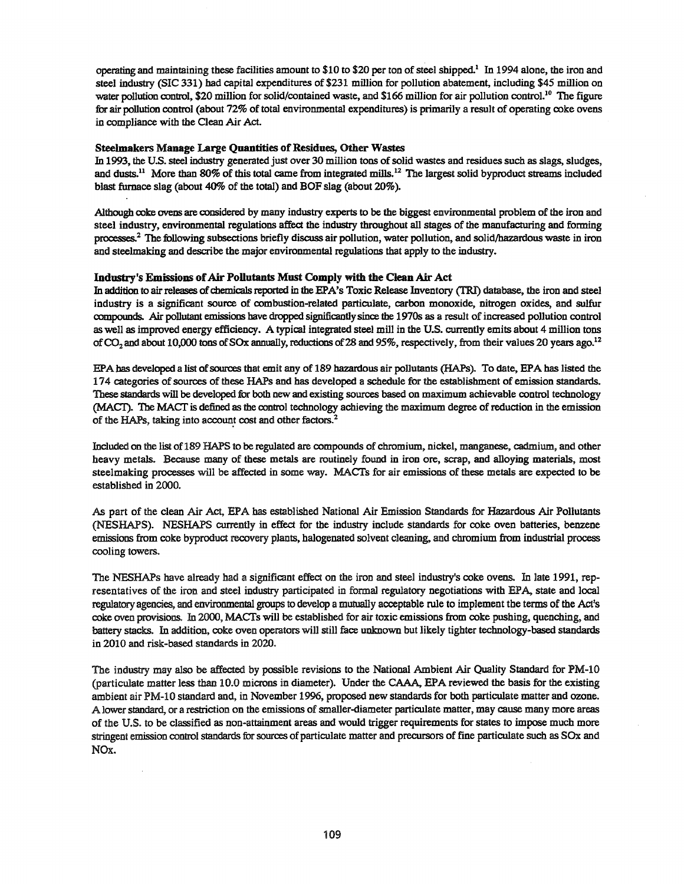operating and maintaining these facilities amount to \$10 to \$20 per ton ofsteel shipped.! In 1994 alone, the iron and steel industry (SIC 331) had capital expenditures of \$231 million for pollution abatement, including \$45 million on water pollution control, \$20 million for solid/contained waste, and \$166 million for air pollution control.<sup>10</sup> The figure for air pollution control (about 72% of total environmental expenditures) is primarily a result of operating coke ovens in compliance with the Clean Air Ad.

#### Steelmakers Manage Large Quantities of Residues, Other Wastes

In 1993, the U.S. steel industry generated just over 30 million tons of solid wastes and residues such as slags, sludges, and dusts.<sup>11</sup> More than 80% of this total came from integrated mills.<sup>12</sup> The largest solid byproduct streams included blast furnace slag (about  $40\%$  of the total) and BOF slag (about  $20\%$ ).

Although coke ovens are considered by many industry experts to be the biggest environmental problem of the iron and steel industry, environmental regulations affect the industry throughout all stages of the manufacturing and forming processes..<sup>2</sup> The following subsections briefly discuss air pollution, water pollution, and solidjhazardous waste in iron and steelmaking and describe the major environmental regulations that apply to the industry.

#### Industry's Emissions of Air Pollutants Must Comply with the Clean Air Act

In addition to air releases of chemicals reported in the EPA's Toxic Release Inventory (TRI) database, the iron and steel industry is a significant source of combustion-related particulate, carbon monoxide, nitrogen oxides, and sulfur compounds. Air pollutant emissions have dropped significantlysince the 19708 as a result ofincreased pollution control as well as improved energy efficiency. A typical integrated steel mill in the U.S. currently emits about 4 million tons of CO<sub>2</sub> and about 10,000 tons of SO<sub>x</sub> annually, reductions of 28 and 95%, respectively, from their values 20 years ago.<sup>12</sup>

EPAhas developed a list ofsources that emit any of 189 hazardous air pollutants (HAPs).. To date, EPA bas listed the 174 categories of sources of these HAPs and has developed a schedule for the establishment of emission standards. These standards will be developed for both new and existing sources based on maximum achievable control technology (MACT). The MACT is defined as the control technology achieving the maximum degree of reduction in the emission of the HAPs, taking into account cost and other factors.<sup>2</sup>

Included on the list of189 HAPS to be regulated are compounds of chromium, nickel, manganese, cadmium, and other heavy metals. Because many of these metals are routinely found in iron ore, scrap, and alloying materials, most steelmaking processes will be affected in some way. MACTs for air emissions of these metals are expected to be established in 2000.

As part of the clean Air Act, EPA has established National Air Emission Standards for Hazardous Air Pollutants (NESHAPS). NESHAPS currently in effect for the industry include standards for coke oven batteries, benzene emissions from coke byproduct recovery plants, halogenated solvent cleaning, and chromium from industrial process cooling towers..

The NESHAPs have already had a significant effect on the iron and steel industry's coke ovens. In late 1991, representatives of the iron and steel industry participated in formal regulatory negotiations with EPA, state and local regulatory agencies, and environmental groups to develop a mutually acceptable rule to implement the terms of the Act's coke oven provisions.. In 2000, MACfs will be established for air toxic emissions from coke pushing, quenching, and battery stacks. In addition, coke oven operators will still face unknown but likely tighter technology-based standards in 2010 and risk-based standards in 2020.

The industry may also be affected by possible revisions to the National Ambient Air Quality Standard for PM-lO (particulate matter less than 10.0 microns in diameter). Under the CAAA, EPA reviewed the basis for the existing ambient air PM-10 standard and, in November 1996, proposed new standards for both particulate matter and ozone. A lower standard, or a restriction on the emissions of smaller-diameter particulate matter, may cause many more areas of the U..S.. to be classified as non-attainment areas and would trigger requirements for states to impose much more stringent emission control standards for sources of particulate matter and precursors of fine particulate such as SOx and NOx.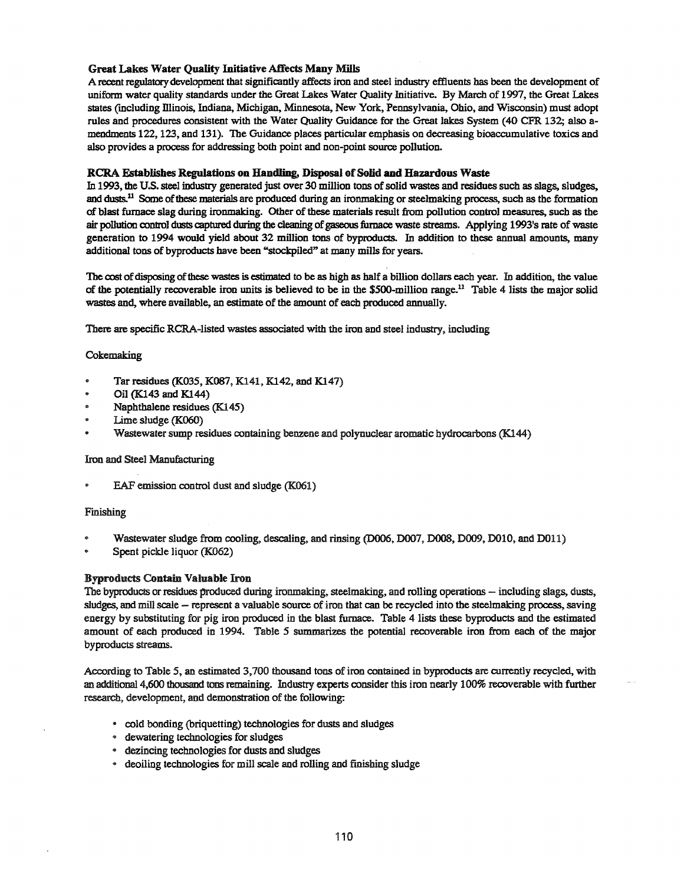# Great Lakes Water Quality Initiative Affects Many Mills

A recent regulatorydevelopment that significantly affects iron and steel industry effluents has been the development of uniform water quality standards under the Great Lakes Water Quality Initiative. By March of 1997, the Great Lakes states (mcluding Dlinois, Indiana, Michigan, Minnesota, New York, Pennsylvania, Ohio, and Wisconsin) must adopt rules and procedures consistent with the Water Quality Guidance for the Great lakes System (40 CPR 132; also amendments 122, 123, and 131). The Guidance places particular emphasis on decreasing bioaccumulative taxies and also provides a process for addressing both point and non-point source pollution.

# RCRA Establishes Regulations on Handling, Disposal of Solid and Hazardous Waste

In 1993, the U.S. steel industry generated just over 30 million tons of solid wastes and residues such as slags, sludges, and dusts.<sup>11</sup> Some of these materials are produced during an ironmaking or steelmaking process, such as the formation of blast furnace slag during ironmaking. Other of these materials result from pollution control measures, such as the air pollution control dusts captured during the cleaning of gaseous furnace waste streams. Applying 1993's rate of waste generation to 1994 would yield about 32 million tons of byproduds. In addition to these annual amounts, many additional tons of byproduets have been "stockpiled" at many mills for years.

The cost of disposing of these wastes is estimated to be as high as half a billion dollars each year. In addition, the value of the potentially recoverable iron units is believed to be in the \$500-million range.<sup>11</sup> Table 4 lists the major solid wastes and, where available, an estimate of the amount of each produced annually.

There are specific RCRA-listed wastes associated with the iron and steel industry, including

# Cokemaking

- Tar residues (K035, K087, K141, K142, and K147)
- Oil (K143 and Kl44)
- Naphthalene residues (K145)
- Lime sludge (K06O)
- Wastewater sump residues containing benzene and polynuclear aromatic hydrocarbons (K144)

# Iron and Steel Manufacturing

EAF emission control dust and sludge (K061)

# Finishing

- Wastewater sludge from cooling, descaling, and rinsing (D006, D007, D008, D009, D010, and D011)
- Spent pickle liquor (K062)

# Byproducts Contain Valuable Iron

The byproducts or residues produced during ironmaking, steelmaking, and rolling operations – including slags, dusts, sludges, and mill scale - represent a valuable source of iron that can be recycled into the steelmaking process, saving energy by substituting for pig iron produced in the blast furnace. Table 4 lists these byproducts and the estimated amount of each produced in 1994.. Table 5 summarizes the potential recoverable iron from each of the major byproducts streams.

According to Table 5, an estimated 3,700 thousand tons ofiron contained in byproducts are currently recycled, with an additional 4,600 thousand tons remaining. Industry experts consider this iron nearly 100% recoverable with further research, development, and demonstration of the following:

- cold bonding (briquetting) technologies for dusts and sludges
- @ dewatering technologies for sludges
- $\cdot$  dezincing technologies for dusts and sludges
- @ deoiling technologies for mill scale and rolling and finishing sludge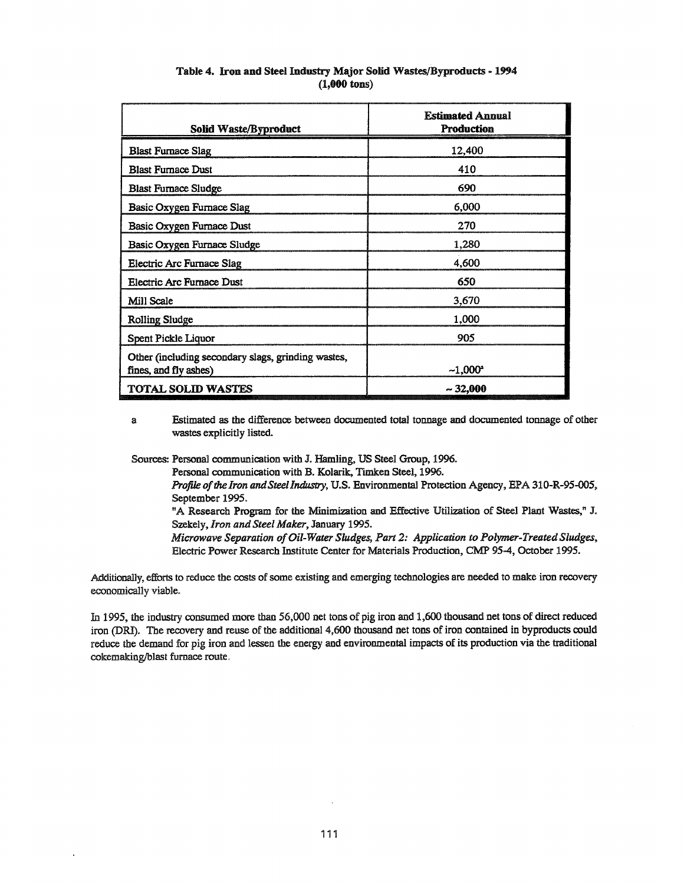| <b>Solid Waste/Byproduct</b>                                                | <b>Estimated Annual</b><br><b>Production</b> |
|-----------------------------------------------------------------------------|----------------------------------------------|
| <b>Blast Furnace Slag</b>                                                   | 12,400                                       |
| <b>Blast Furnace Dust</b>                                                   | 410                                          |
| <b>Blast Furnace Sludge</b>                                                 | 690                                          |
| Basic Oxygen Furnace Slag                                                   | 6,000                                        |
| Basic Oxygen Furnace Dust                                                   | 270                                          |
| Basic Oxygen Furnace Sludge                                                 | 1,280                                        |
| Electric Arc Furnace Slag                                                   | 4,600                                        |
| Electric Arc Furnace Dust                                                   | 650                                          |
| Mill Scale                                                                  | 3,670                                        |
| <b>Rolling Sludge</b>                                                       | 1,000                                        |
| Spent Pickle Liquor                                                         | 905                                          |
| Other (including secondary slags, grinding wastes,<br>fines, and fly ashes) | $-1.000^*$                                   |
| <b>TOTAL SOLID WASTES</b>                                                   | $-32,000$                                    |

# Table 4. Iron and Steel Industry Major Solid Wastes/Byproducts - 1994 (1,000 tons)

a Estimated as the difference between documented total tonnage and documented tonnage of other wastes explicitly listed.

Sources: Personal communication with J. Hamling, US Steel Group, 1996,.

Personal communication with B,. Kolarik, Timken Steel, 1996.

*Profile of*the *Iron andSteelIndustry,* u.s.. Environmental Protection Agency, EPA 310-R-95-DOS, September 1995,.

"A Research Program for the Minimization and Effective Utilization of Steel Plant Wastes," J.. Szekely, *Iron and Steel Maker*, January 1995.

*Microwave Separation ofOil-Water Sludges, Part* 2: *Application to Polymer-Treated Sludges,* Electric Power Research Institute Center for Materials Production, CMP 95-4, October 1995.

Additionally, efforts to reduce the costs of some existing and emerging technologies are needed to make iron recovery economically viable.

In 1995, the industry consumed more than 56,000 net tons of pig iron and 1,600 thousand net tons of direct reduced iron (DRI). The recovery and reuse of the additional 4,600 thousand net tons of iron contained in byproducts could reduce the demand for pig iron and lessen the energy and environmental impacts of its production via the traditional cokemaking/blast furnace route.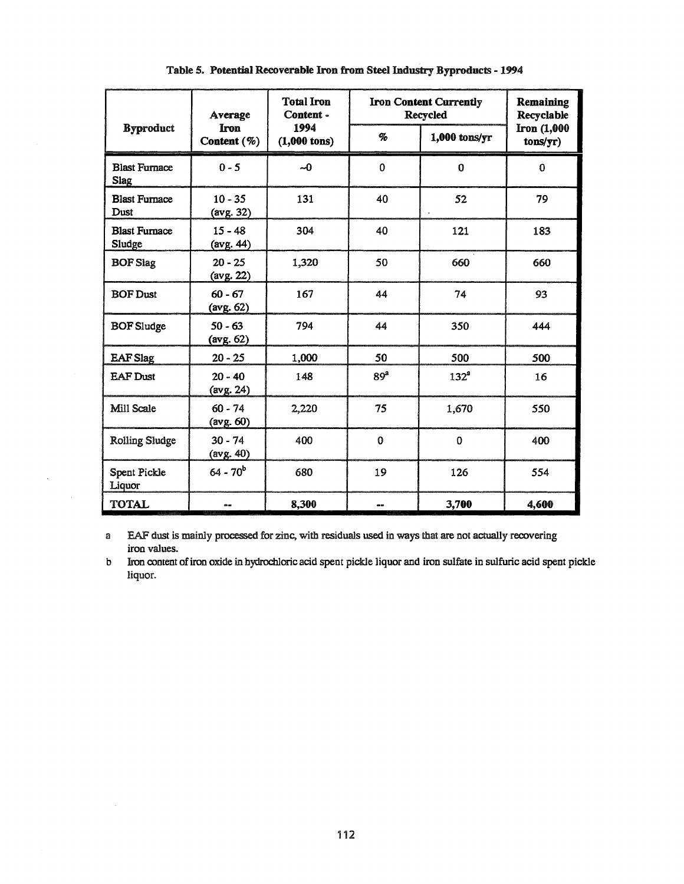| <b>Byproduct</b>                    | Average<br><b>Iron</b><br>Content (%) | <b>Total Iron</b><br>Content -<br>1994<br>$(1,000 \text{ tons})$ | <b>Iron Content Currently</b><br>Recycled |                  | Remaining<br>Recyclable |
|-------------------------------------|---------------------------------------|------------------------------------------------------------------|-------------------------------------------|------------------|-------------------------|
|                                     |                                       |                                                                  | $\%$                                      | $1,000$ tons/yr  | Iron (1,000<br>tons/yr) |
| <b>Blast Furnace</b><br><b>Slag</b> | $0 - 5$                               | $\sim 0$                                                         | $\mathbf{0}$                              | $\bf{0}$         | $\bf{0}$                |
| <b>Blast Furnace</b><br>Dust        | $10 - 35$<br>(avg. 32)                | 131                                                              | 40                                        | 52               | 79                      |
| <b>Blast Furnace</b><br>Sludge      | $15 - 48$<br>(avg. 44)                | 304                                                              | 40                                        | 121              | 183                     |
| <b>BOF Slag</b>                     | $20 - 25$<br>(avg. 22)                | 1,320                                                            | 50                                        | 660              | 660                     |
| <b>BOF Dust</b>                     | $60 - 67$<br>$(\text{avg. } 62)$      | 167                                                              | 44                                        | 74               | 93                      |
| <b>BOF</b> Sludge                   | $50 - 63$<br>(avg. 62)                | 794                                                              | 44                                        | 350              | 444                     |
| <b>EAF Slag</b>                     | $20 - 25$                             | 1,000                                                            | 50                                        | 500              | 500                     |
| <b>EAF Dust</b>                     | $20 - 40$<br>$(\text{avg. } 24)$      | 148                                                              | 89 <sup>ª</sup>                           | 132 <sup>a</sup> | 16                      |
| Mill Scale                          | $60 - 74$<br>(avg. 60)                | 2,220                                                            | 75                                        | 1,670            | 550                     |
| <b>Rolling Sludge</b>               | $30 - 74$<br>(avg. 40)                | 400                                                              | $\mathbf 0$                               | $\bf{0}$         | 400                     |
| Spent Pickle<br>Liquor              | $64 - 70^{b}$                         | 680                                                              | 19                                        | 126              | 554                     |
| <b>TOTAL</b>                        | $\sim$                                | 8,300                                                            | --                                        | 3,700            | 4,600                   |

Table 5. Potential Recoverable Iron from Steel Industry Byproducts - 1994

a EAF dust is mainly processed for zinc, with residuals used in ways that are not actually recovering iron values.

b Iron content of iron oxide in hydrochloric acid spent pickle liquor and iron sulfate in sulfuric acid spent pickle liquor.